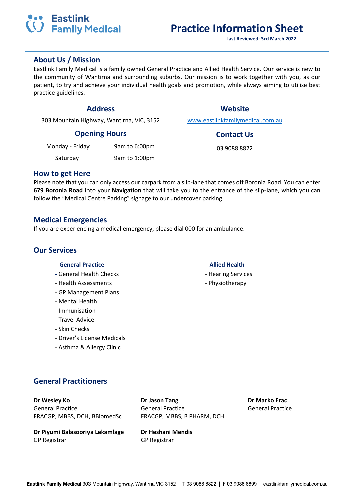## *CO* Family Medical **Practice Information Sheet**

### **About Us / Mission**

Eastlink Family Medical is a family owned General Practice and Allied Health Service. Our service is new to the community of Wantirna and surrounding suburbs. Our mission is to work together with you, as our patient, to try and achieve your individual health goals and promotion, while always aiming to utilise best practice guidelines.

303 Mountain Highway, Wantirna, VIC, 3152 [www.eastlinkfamilymedical.com.au](http://www.eastlinkfamilymedical.com.au/)

### **Opening Hours Contact Us**

| Monday - Friday | 9am to 6:00pm | 03 9088 8822 |
|-----------------|---------------|--------------|
|                 |               |              |

Saturday 9am to 1:00pm

### **How to get Here**

Please note that you can only access our carpark from a slip-lane that comes off Boronia Road. You can enter **679 Boronia Road** into your **Navigation** that will take you to the entrance of the slip-lane, which you can follow the "Medical Centre Parking" signage to our undercover parking.

### **Medical Emergencies**

If you are experiencing a medical emergency, please dial 000 for an ambulance.

### **Our Services**

### **General Practice Allied Health**

- General Health Checks  **According Services** Hearing Services
- Health Assessments Physiotherapy
- GP Management Plans
- Mental Health
- Immunisation
- Travel Advice
- Skin Checks
- Driver's License Medicals
- Asthma & Allergy Clinic

- 
- 

### **General Practitioners**

General Practice General Practice General Practice FRACGP, MBBS, DCH, BBiomedSc FRACGP, MBBS, B PHARM, DCH

**Dr Piyumi Balasooriya Lekamlage Dr Heshani Mendis** GP Registrar GP Registrar

**Dr Wesley Ko Dr Jason Tang Dr Marko Erac**

# **SO Eastlink**

**Address Website**